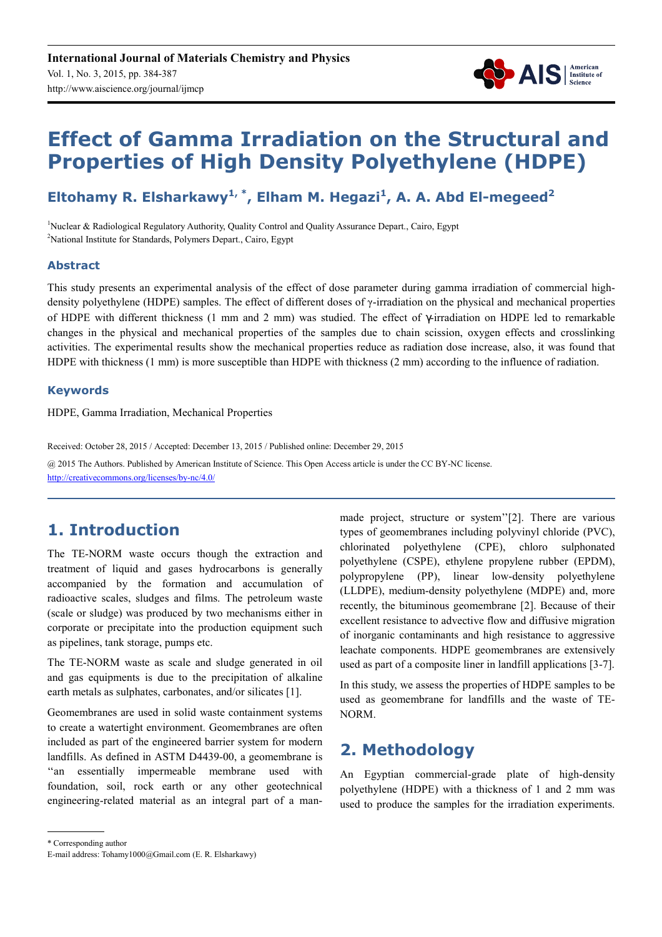

# **Effect of Gamma Irradiation on the Structural and Properties of High Density Polyethylene (HDPE)**

# **Eltohamy R. Elsharkawy1, \*, Elham M. Hegazi<sup>1</sup> , A. A. Abd El-megeed<sup>2</sup>**

<sup>1</sup>Nuclear & Radiological Regulatory Authority, Quality Control and Quality Assurance Depart., Cairo, Egypt <sup>2</sup>National Institute for Standards, Polymers Depart., Cairo, Egypt

### **Abstract**

This study presents an experimental analysis of the effect of dose parameter during gamma irradiation of commercial highdensity polyethylene (HDPE) samples. The effect of different doses of  $\gamma$ -irradiation on the physical and mechanical properties of HDPE with different thickness (1 mm and 2 mm) was studied. The effect of γ-irradiation on HDPE led to remarkable changes in the physical and mechanical properties of the samples due to chain scission, oxygen effects and crosslinking activities. The experimental results show the mechanical properties reduce as radiation dose increase, also, it was found that HDPE with thickness (1 mm) is more susceptible than HDPE with thickness (2 mm) according to the influence of radiation.

### **Keywords**

HDPE, Gamma Irradiation, Mechanical Properties

Received: October 28, 2015 / Accepted: December 13, 2015 / Published online: December 29, 2015 @ 2015 The Authors. Published by American Institute of Science. This Open Access article is under the CC BY-NC license. http://creativecommons.org/licenses/by-nc/4.0/

# **1. Introduction**

The TE-NORM waste occurs though the extraction and treatment of liquid and gases hydrocarbons is generally accompanied by the formation and accumulation of radioactive scales, sludges and films. The petroleum waste (scale or sludge) was produced by two mechanisms either in corporate or precipitate into the production equipment such as pipelines, tank storage, pumps etc.

The TE-NORM waste as scale and sludge generated in oil and gas equipments is due to the precipitation of alkaline earth metals as sulphates, carbonates, and/or silicates [1].

Geomembranes are used in solid waste containment systems to create a watertight environment. Geomembranes are often included as part of the engineered barrier system for modern landfills. As defined in ASTM D4439-00, a geomembrane is ''an essentially impermeable membrane used with foundation, soil, rock earth or any other geotechnical engineering-related material as an integral part of a manmade project, structure or system''[2]. There are various types of geomembranes including polyvinyl chloride (PVC), chlorinated polyethylene (CPE), chloro sulphonated polyethylene (CSPE), ethylene propylene rubber (EPDM), polypropylene (PP), linear low-density polyethylene (LLDPE), medium-density polyethylene (MDPE) and, more recently, the bituminous geomembrane [2]. Because of their excellent resistance to advective flow and diffusive migration of inorganic contaminants and high resistance to aggressive leachate components. HDPE geomembranes are extensively used as part of a composite liner in landfill applications [3-7].

In this study, we assess the properties of HDPE samples to be used as geomembrane for landfills and the waste of TE-NORM.

## **2. Methodology**

An Egyptian commercial-grade plate of high-density polyethylene (HDPE) with a thickness of 1 and 2 mm was used to produce the samples for the irradiation experiments.

<sup>\*</sup> Corresponding author

E-mail address: Tohamy1000@Gmail.com (E. R. Elsharkawy)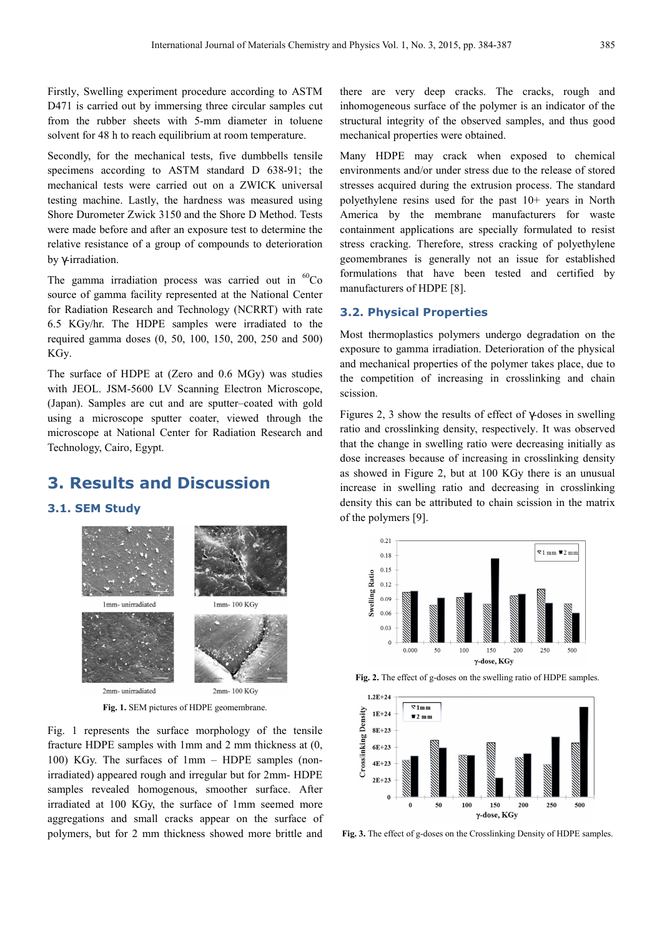Firstly, Swelling experiment procedure according to ASTM D471 is carried out by immersing three circular samples cut from the rubber sheets with 5-mm diameter in toluene solvent for 48 h to reach equilibrium at room temperature.

Secondly, for the mechanical tests, five dumbbells tensile specimens according to ASTM standard D 638-91; the mechanical tests were carried out on a ZWICK universal testing machine. Lastly, the hardness was measured using Shore Durometer Zwick 3150 and the Shore D Method. Tests were made before and after an exposure test to determine the relative resistance of a group of compounds to deterioration by γ-irradiation.

The gamma irradiation process was carried out in  ${}^{60}Co$ source of gamma facility represented at the National Center for Radiation Research and Technology (NCRRT) with rate 6.5 KGy/hr. The HDPE samples were irradiated to the required gamma doses (0, 50, 100, 150, 200, 250 and 500) KGy.

The surface of HDPE at (Zero and 0.6 MGy) was studies with JEOL. JSM-5600 LV Scanning Electron Microscope, (Japan). Samples are cut and are sputter–coated with gold using a microscope sputter coater, viewed through the microscope at National Center for Radiation Research and Technology, Cairo, Egypt.

### **3. Results and Discussion**

#### **3.1. SEM Study**



**Fig. 1.** SEM pictures of HDPE geomembrane.

Fig. 1 represents the surface morphology of the tensile fracture HDPE samples with 1mm and 2 mm thickness at (0, 100) KGy. The surfaces of 1mm – HDPE samples (nonirradiated) appeared rough and irregular but for 2mm- HDPE samples revealed homogenous, smoother surface. After irradiated at 100 KGy, the surface of 1mm seemed more aggregations and small cracks appear on the surface of polymers, but for 2 mm thickness showed more brittle and there are very deep cracks. The cracks, rough and inhomogeneous surface of the polymer is an indicator of the structural integrity of the observed samples, and thus good mechanical properties were obtained.

Many HDPE may crack when exposed to chemical environments and/or under stress due to the release of stored stresses acquired during the extrusion process. The standard polyethylene resins used for the past 10+ years in North America by the membrane manufacturers for waste containment applications are specially formulated to resist stress cracking. Therefore, stress cracking of polyethylene geomembranes is generally not an issue for established formulations that have been tested and certified by manufacturers of HDPE [8].

#### **3.2. Physical Properties**

Most thermoplastics polymers undergo degradation on the exposure to gamma irradiation. Deterioration of the physical and mechanical properties of the polymer takes place, due to the competition of increasing in crosslinking and chain scission.

Figures 2, 3 show the results of effect of γ-doses in swelling ratio and crosslinking density, respectively. It was observed that the change in swelling ratio were decreasing initially as dose increases because of increasing in crosslinking density as showed in Figure 2, but at 100 KGy there is an unusual increase in swelling ratio and decreasing in crosslinking density this can be attributed to chain scission in the matrix of the polymers [9].





**Fig. 2.** The effect of g-doses on the swelling ratio of HDPE samples.

**Fig. 3.** The effect of g-doses on the Crosslinking Density of HDPE samples.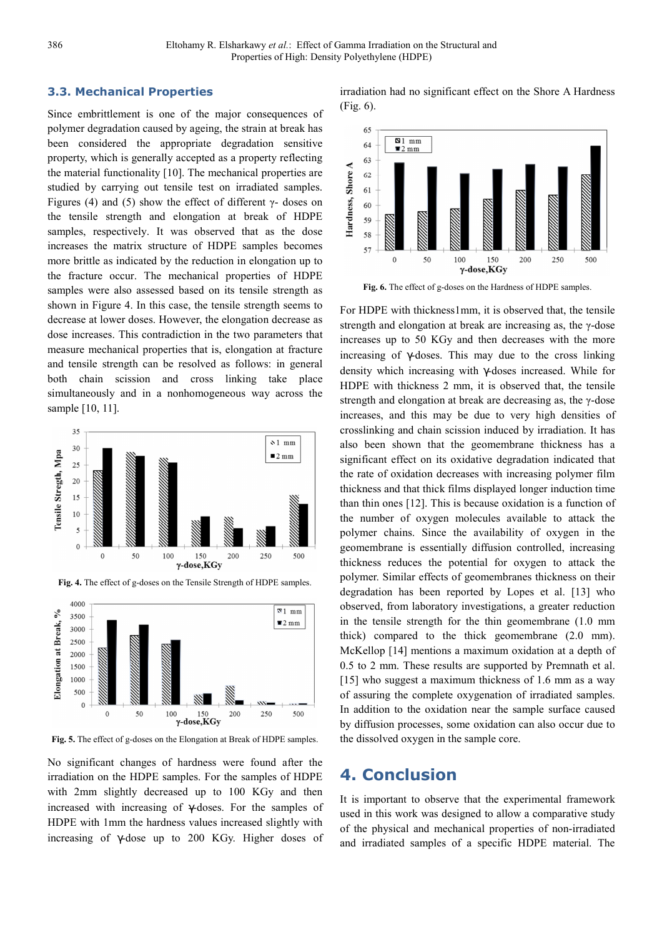#### **3.3. Mechanical Properties**

Since embrittlement is one of the major consequences of polymer degradation caused by ageing, the strain at break has been considered the appropriate degradation sensitive property, which is generally accepted as a property reflecting the material functionality [10]. The mechanical properties are studied by carrying out tensile test on irradiated samples. Figures (4) and (5) show the effect of different  $\gamma$ - doses on the tensile strength and elongation at break of HDPE samples, respectively. It was observed that as the dose increases the matrix structure of HDPE samples becomes more brittle as indicated by the reduction in elongation up to the fracture occur. The mechanical properties of HDPE samples were also assessed based on its tensile strength as shown in Figure 4. In this case, the tensile strength seems to decrease at lower doses. However, the elongation decrease as dose increases. This contradiction in the two parameters that measure mechanical properties that is, elongation at fracture and tensile strength can be resolved as follows: in general both chain scission and cross linking take place simultaneously and in a nonhomogeneous way across the sample [10, 11].





**Fig. 4.** The effect of g-doses on the Tensile Strength of HDPE samples.

**Fig. 5.** The effect of g-doses on the Elongation at Break of HDPE samples.

150

y-dose,KGy

200

100

250

500

500  $\Omega$ 

 $\Omega$ 

50

No significant changes of hardness were found after the irradiation on the HDPE samples. For the samples of HDPE with 2mm slightly decreased up to 100 KGy and then increased with increasing of γ-doses. For the samples of HDPE with 1mm the hardness values increased slightly with increasing of γ-dose up to 200 KGy. Higher doses of irradiation had no significant effect on the Shore A Hardness (Fig. 6).



**Fig. 6.** The effect of g-doses on the Hardness of HDPE samples.

For HDPE with thickness1mm, it is observed that, the tensile strength and elongation at break are increasing as, the γ-dose increases up to 50 KGy and then decreases with the more increasing of  $\gamma$ -doses. This may due to the cross linking density which increasing with γ-doses increased. While for HDPE with thickness 2 mm, it is observed that, the tensile strength and elongation at break are decreasing as, the γ-dose increases, and this may be due to very high densities of crosslinking and chain scission induced by irradiation. It has also been shown that the geomembrane thickness has a significant effect on its oxidative degradation indicated that the rate of oxidation decreases with increasing polymer film thickness and that thick films displayed longer induction time than thin ones [12]. This is because oxidation is a function of the number of oxygen molecules available to attack the polymer chains. Since the availability of oxygen in the geomembrane is essentially diffusion controlled, increasing thickness reduces the potential for oxygen to attack the polymer. Similar effects of geomembranes thickness on their degradation has been reported by Lopes et al. [13] who observed, from laboratory investigations, a greater reduction in the tensile strength for the thin geomembrane (1.0 mm thick) compared to the thick geomembrane (2.0 mm). McKellop [14] mentions a maximum oxidation at a depth of 0.5 to 2 mm. These results are supported by Premnath et al. [15] who suggest a maximum thickness of 1.6 mm as a way of assuring the complete oxygenation of irradiated samples. In addition to the oxidation near the sample surface caused by diffusion processes, some oxidation can also occur due to the dissolved oxygen in the sample core.

### **4. Conclusion**

It is important to observe that the experimental framework used in this work was designed to allow a comparative study of the physical and mechanical properties of non-irradiated and irradiated samples of a specific HDPE material. The